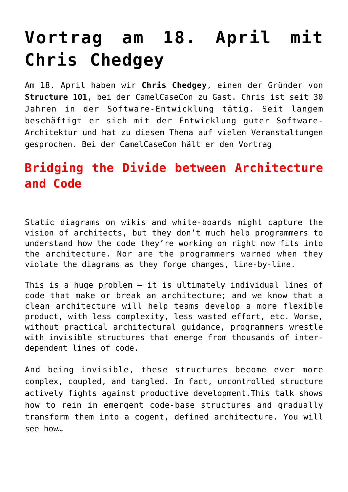# **[Vortrag am 18. April mit](http://camelcasecon.de/test/) [Chris Chedgey](http://camelcasecon.de/test/)**

Am 18. April haben wir **Chris Chedgey**, einen der Gründer von **Structure 101**, bei der CamelCaseCon zu Gast. Chris ist seit 30 Jahren in der Software-Entwicklung tätig. Seit langem beschäftigt er sich mit der Entwicklung guter Software-Architektur und hat zu diesem Thema auf vielen Veranstaltungen gesprochen. Bei der CamelCaseCon hält er den Vortrag

# **Bridging the Divide between Architecture and Code**

Static diagrams on wikis and white-boards might capture the vision of architects, but they don't much help programmers to understand how the code they're working on right now fits into the architecture. Nor are the programmers warned when they violate the diagrams as they forge changes, line-by-line.

This is a huge problem – it is ultimately individual lines of code that make or break an architecture; and we know that a clean architecture will help teams develop a more flexible product, with less complexity, less wasted effort, etc. Worse, without practical architectural guidance, programmers wrestle with invisible structures that emerge from thousands of interdependent lines of code.

And being invisible, these structures become ever more complex, coupled, and tangled. In fact, uncontrolled structure actively fights against productive development.This talk shows how to rein in emergent code-base structures and gradually transform them into a cogent, defined architecture. You will see how…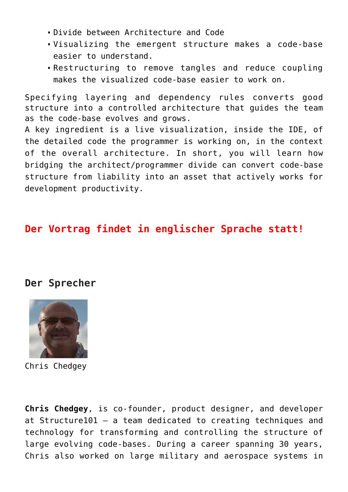- Divide between Architecture and Code
- Visualizing the emergent structure makes a code-base easier to understand.
- Restructuring to remove tangles and reduce coupling makes the visualized code-base easier to work on.

Specifying layering and dependency rules converts good structure into a controlled architecture that guides the team as the code-base evolves and grows.

A key ingredient is a live visualization, inside the IDE, of the detailed code the programmer is working on, in the context of the overall architecture. In short, you will learn how bridging the architect/programmer divide can convert code-base structure from liability into an asset that actively works for development productivity.

## **Der Vortrag findet in englischer Sprache statt!**

#### **Der Sprecher**



Chris Chedgey

**Chris Chedgey**, is co-founder, product designer, and developer at Structure101 – a team dedicated to creating techniques and technology for transforming and controlling the structure of large evolving code-bases. During a career spanning 30 years, Chris also worked on large military and aerospace systems in